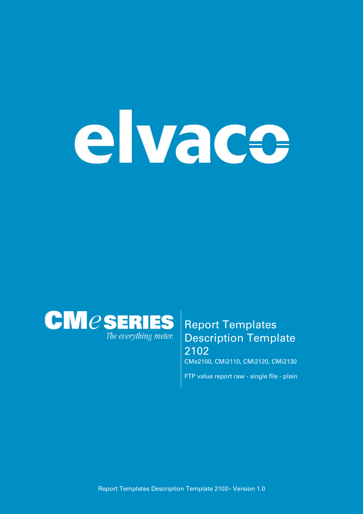# elvace



## **Report Templates Description Template 2102**

**CMe2100, CMi2110, CMi2120, CMi2130**

**FTP value report raw - single file - plain**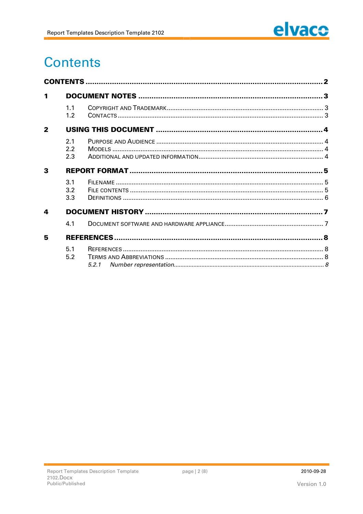

# **Contents**

| 1            |                   |  |  |
|--------------|-------------------|--|--|
|              | 11<br>1.2         |  |  |
| $\mathbf{2}$ |                   |  |  |
|              | 2.1<br>2.2<br>2.3 |  |  |
| 3            |                   |  |  |
|              | 3.1<br>3.2<br>3.3 |  |  |
| 4            |                   |  |  |
|              | 4.1               |  |  |
| 5            |                   |  |  |
|              | 5.1<br>5.2        |  |  |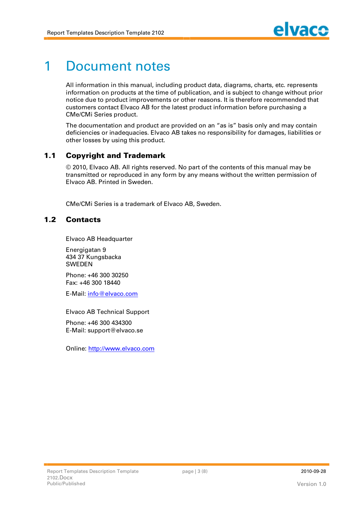# **1 Document notes**

**All information in this manual, including product data, diagrams, charts, etc. represents information on products at the time of publication, and is subject to change without prior notice due to product improvements or other reasons. It is therefore recommended that customers contact Elvaco AB for the latest product information before purchasing a CMe/CMi Series product.**

**The documentation and product are provided on an "as is" basis only and may contain deficiencies or inadequacies. Elvaco AB takes no responsibility for damages, liabilities or other losses by using this product.**

### **1.1 Copyright and Trademark**

**© 2010, Elvaco AB. All rights reserved. No part of the contents of this manual may be transmitted or reproduced in any form by any means without the written permission of Elvaco AB. Printed in Sweden.**

**CMe/CMi Series is a trademark of Elvaco AB, Sweden.**

### **1.2 Cont act s**

**Elvaco AB Headquarter**

**Energigatan 9 434 37 Kungsbacka SWEDEN**

**Phone: +46 300 30250 Fax: +46 300 18440**

**E-Mail: [info@elvaco.com](mailto:info@elvaco.com)**

**Elvaco AB Technical Support**

**Phone: +46 300 434300 E-Mail: [support@elvaco.se](mailto:support@elvaco.se)**

**Online: http://www.elvaco.com**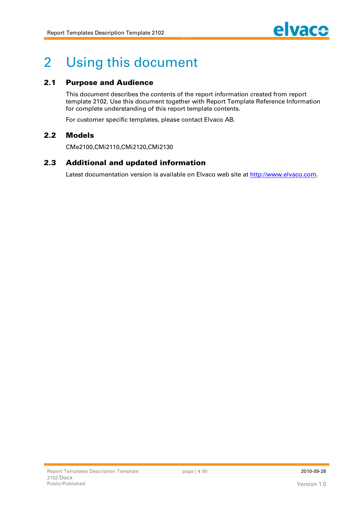

# **2 Using this document**

### **2.1 Purpose and Audience**

**This document describes the contents of the report information created from report template 2102. Use this document together with Report Template Reference Information for complete understanding of this report template contents.**

**For customer specific templates, please contact Elvaco AB.**

### **2.2 M odels**

**CMe2100,CMi2110,CMi2120,CMi2130**

### **2.3** Additional and updated information

**Latest documentation version is available on Elvaco web site at http://www.elvaco.com.**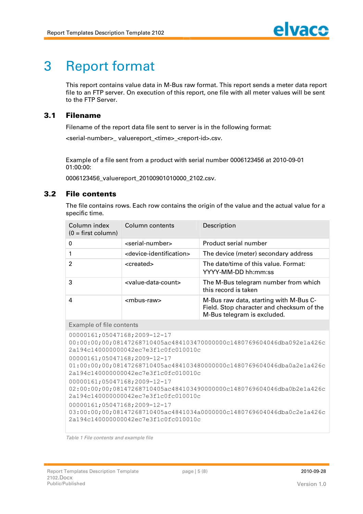# **3 Report format**

**This report contains value data in M-Bus raw format. This report sends a meter data report file to an FTP server. On execution of this report, one file with all meter values will be sent to the FTP Server.**

### **3.1 Filenam e**

**Filename of the report data file sent to server is in the following format:**

**<serial-number>\_ valuereport\_<time>\_<report-id>.csv.**

**Example of a file sent from a product with serial number 0006123456 at 2010-09-01 01:00:00:**

**0006123456\_valuereport\_20100901010000\_2102.csv.**

### **3.2 File contents**

**The file contains rows. Each row contains the origin of the value and the actual value for a specific time.**

| Column index<br>$(0 = first column)$ | Column contents                                 | Description                                                                                                        |
|--------------------------------------|-------------------------------------------------|--------------------------------------------------------------------------------------------------------------------|
| 0                                    | <serial-number></serial-number>                 | Product serial number                                                                                              |
|                                      | <device-identification></device-identification> | The device (meter) secondary address                                                                               |
| 2                                    | <created></created>                             | The date/time of this value. Format:<br>YYYY-MM-DD hh:mm:ss                                                        |
| 3                                    | <value-data-count></value-data-count>           | The M-Bus telegram number from which<br>this record is taken                                                       |
| 4                                    | <mbus-raw></mbus-raw>                           | M-Bus raw data, starting with M-Bus C-<br>Field. Stop character and checksum of the<br>M-Bus telegram is excluded. |
|                                      |                                                 |                                                                                                                    |

### **Example of file contents**

```
00000161;05047168;2009-12-17 
00:00:00;00;08147268710405ac484103470000000c1480769604046dba092e1a426c
2a194c140000000042ec7e3f1c0fc010010c
00000161;05047168;2009-12-17 
01:00:00;00;08147268710405ac484103480000000c1480769604046dba0a2e1a426c
2a194c140000000042ec7e3f1c0fc010010c
00000161;05047168;2009-12-17 
02:00:00;00;08147268710405ac484103490000000c1480769604046dba0b2e1a426c
2a194c140000000042ec7e3f1c0fc010010c
00000161;05047168;2009-12-17 
03:00:00;00;08147268710405ac4841034a0000000c1480769604046dba0c2e1a426c
2a194c140000000042ec7e3f1c0fc010010c
```
*Table 1 File contents and example file*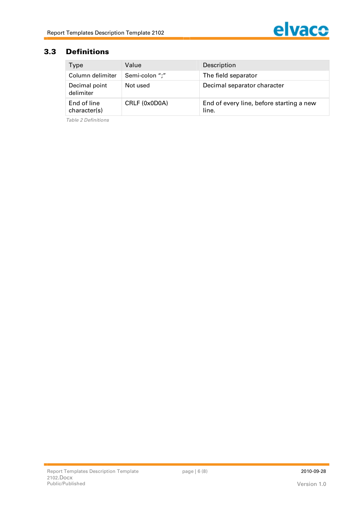

### **3.3 Definitions**

| Type                        | Value          | Description                                       |
|-----------------------------|----------------|---------------------------------------------------|
| Column delimiter            | Semi-colon ";" | The field separator                               |
| Decimal point<br>delimiter  | Not used       | Decimal separator character                       |
| End of line<br>character(s) | CRLF (0x0D0A)  | End of every line, before starting a new<br>line. |

*Table 2 Definitions*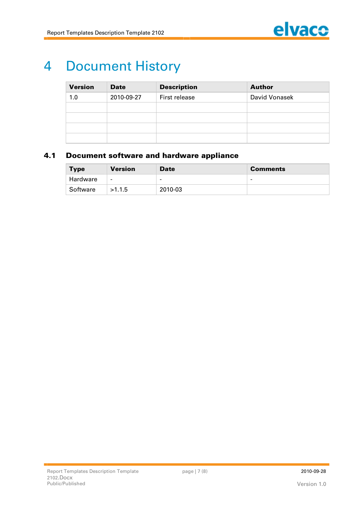

# **4 Document History**

| <b>Version</b> | <b>Date</b> | <b>Description</b> | <b>Author</b> |
|----------------|-------------|--------------------|---------------|
| 1.0            | 2010-09-27  | First release      | David Vonasek |
|                |             |                    |               |
|                |             |                    |               |
|                |             |                    |               |
|                |             |                    |               |

### **4.1 Document software and hardware appliance**

| <b>Type</b> | <b>Version</b>           | <b>Date</b>              | <b>Comments</b> |
|-------------|--------------------------|--------------------------|-----------------|
| Hardware    | $\overline{\phantom{0}}$ | $\overline{\phantom{a}}$ | -               |
| Software    | >1.1.5                   | 2010-03                  |                 |